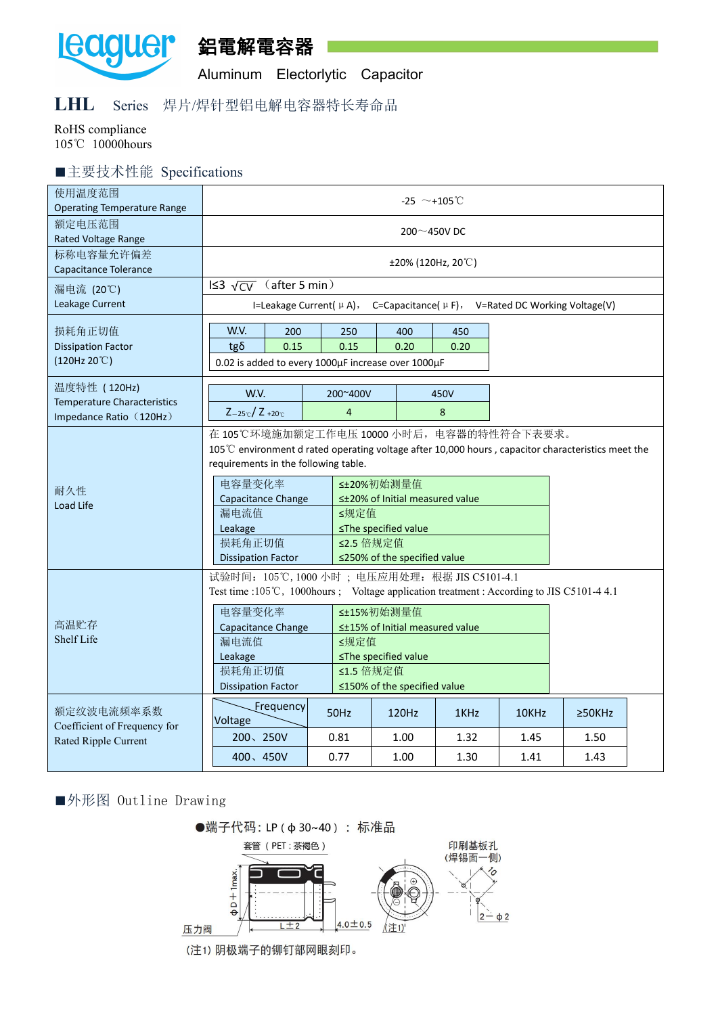

鋁電解電容器

Aluminum Electorlytic Capacitor

## **LHL** Series 焊片/焊针型铝电解电容器特长寿命品

RoHS compliance 105℃ 10000hours

## ■主要技术性能 Specifications

| 使用温度范围<br><b>Operating Temperature Range</b>                                  | -25 $\sim$ +105°C                                                                                                                                                                                                                                                                                                                                                  |                                                                                                                                                                                                                                                                                                                                                                                              |                            |                                                                   |              |              |              |  |  |  |  |  |
|-------------------------------------------------------------------------------|--------------------------------------------------------------------------------------------------------------------------------------------------------------------------------------------------------------------------------------------------------------------------------------------------------------------------------------------------------------------|----------------------------------------------------------------------------------------------------------------------------------------------------------------------------------------------------------------------------------------------------------------------------------------------------------------------------------------------------------------------------------------------|----------------------------|-------------------------------------------------------------------|--------------|--------------|--------------|--|--|--|--|--|
| 额定电压范围<br>Rated Voltage Range                                                 | 200 $\sim$ 450V DC                                                                                                                                                                                                                                                                                                                                                 |                                                                                                                                                                                                                                                                                                                                                                                              |                            |                                                                   |              |              |              |  |  |  |  |  |
| 标称电容量允许偏差<br>Capacitance Tolerance                                            | $\pm 20\%$ (120Hz, 20°C)                                                                                                                                                                                                                                                                                                                                           |                                                                                                                                                                                                                                                                                                                                                                                              |                            |                                                                   |              |              |              |  |  |  |  |  |
| 漏电流 (20℃)<br>Leakage Current                                                  | IS3 $\sqrt{CV}$ (after 5 min)<br>I=Leakage Current( $\mu$ A), C=Capacitance( $\mu$ F), V=Rated DC Working Voltage(V)                                                                                                                                                                                                                                               |                                                                                                                                                                                                                                                                                                                                                                                              |                            |                                                                   |              |              |              |  |  |  |  |  |
| 损耗角正切值<br><b>Dissipation Factor</b><br>(120Hz 20°C)                           | W.V.<br>$tg\delta$                                                                                                                                                                                                                                                                                                                                                 | 200<br>0.15                                                                                                                                                                                                                                                                                                                                                                                  | 250<br>0.15                | 400<br>0.20<br>0.02 is added to every 1000µF increase over 1000µF | 450<br>0.20  |              |              |  |  |  |  |  |
| 温度特性 (120Hz)<br><b>Temperature Characteristics</b><br>Impedance Ratio (120Hz) | W.V.<br>$Z_{-25}C/Z_{+20}C$                                                                                                                                                                                                                                                                                                                                        |                                                                                                                                                                                                                                                                                                                                                                                              | 200~400V<br>$\overline{4}$ | 450V<br>8                                                         |              |              |              |  |  |  |  |  |
| 耐久性<br>Load Life                                                              | 漏电流值<br>Leakage                                                                                                                                                                                                                                                                                                                                                    | 在 105℃环境施加额定工作电压 10000 小时后, 电容器的特性符合下表要求。<br>105°C environment d rated operating voltage after 10,000 hours, capacitor characteristics meet the<br>requirements in the following table.<br>电容量变化率<br>≤±20%初始测量值<br>≤±20% of Initial measured value<br>Capacitance Change<br>≤规定值<br>≤The specified value<br>损耗角正切值<br>≤2.5 倍规定值<br>≤250% of the specified value<br><b>Dissipation Factor</b> |                            |                                                                   |              |              |              |  |  |  |  |  |
| 高温贮存<br>Shelf Life                                                            | 试验时间: 105℃, 1000 小时; 电压应用处理: 根据 JIS C5101-4.1<br>Test time :105℃, 1000hours ; Voltage application treatment : According to JIS C5101-4 4.1<br>电容量变化率<br><±15%初始测量值<br>≤±15% of Initial measured value<br>Capacitance Change<br>漏电流值<br>≤规定值<br>≤The specified value<br>Leakage<br>损耗角正切值<br>≤1.5 倍规定值<br>≤150% of the specified value<br><b>Dissipation Factor</b> |                                                                                                                                                                                                                                                                                                                                                                                              |                            |                                                                   |              |              |              |  |  |  |  |  |
| 额定纹波电流频率系数<br>Coefficient of Frequency for                                    | Voltage                                                                                                                                                                                                                                                                                                                                                            | [Frequency                                                                                                                                                                                                                                                                                                                                                                                   | 50Hz                       | 120Hz                                                             | 1KHz         | 10KHz        | $\geq$ 50KHz |  |  |  |  |  |
| Rated Ripple Current                                                          | 200、250V<br>400、450V                                                                                                                                                                                                                                                                                                                                               |                                                                                                                                                                                                                                                                                                                                                                                              | 0.81<br>0.77               | 1.00<br>1.00                                                      | 1.32<br>1.30 | 1.45<br>1.41 | 1.50<br>1.43 |  |  |  |  |  |

## ■外形图 Outline Drawing